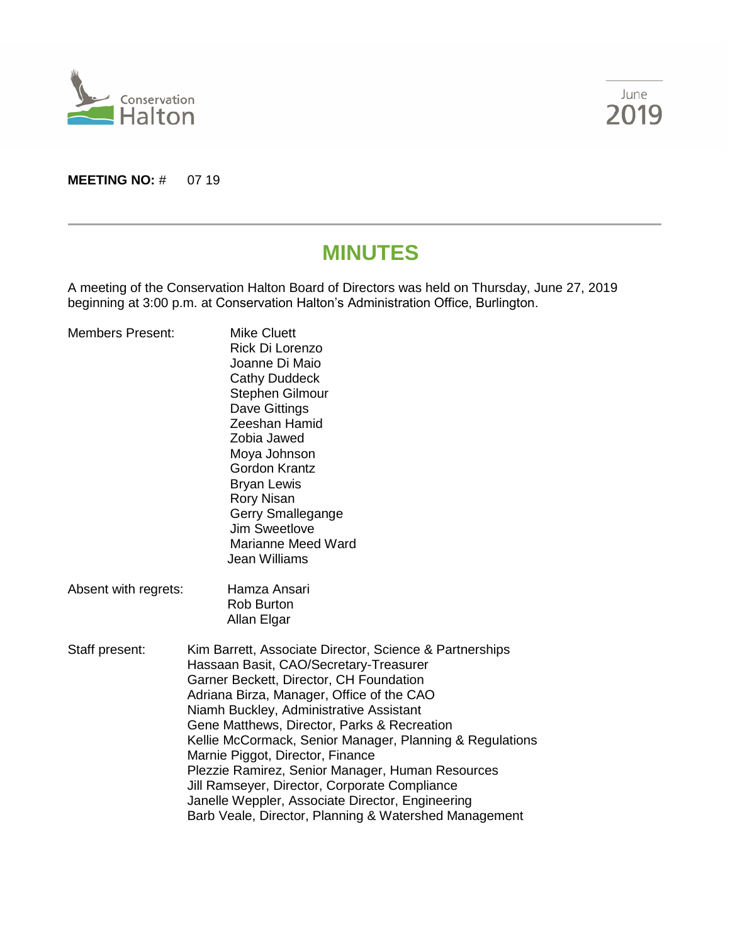



#### **MEETING NO: # 07 19**

# **MINUTES**

A meeting of the Conservation Halton Board of Directors was held on Thursday, June 27, 2019 beginning at 3:00 p.m. at Conservation Halton's Administration Office, Burlington.

| <b>Members Present:</b> | <b>Mike Cluett</b><br>Rick Di Lorenzo<br>Joanne Di Maio<br><b>Cathy Duddeck</b><br><b>Stephen Gilmour</b><br>Dave Gittings<br>Zeeshan Hamid<br>Zobia Jawed<br>Moya Johnson<br><b>Gordon Krantz</b><br><b>Bryan Lewis</b><br><b>Rory Nisan</b><br>Gerry Smallegange<br><b>Jim Sweetlove</b><br><b>Marianne Meed Ward</b><br><b>Jean Williams</b>                                                                                                                                                                                                                                                       |  |
|-------------------------|-------------------------------------------------------------------------------------------------------------------------------------------------------------------------------------------------------------------------------------------------------------------------------------------------------------------------------------------------------------------------------------------------------------------------------------------------------------------------------------------------------------------------------------------------------------------------------------------------------|--|
| Absent with regrets:    | Hamza Ansari<br><b>Rob Burton</b><br>Allan Elgar                                                                                                                                                                                                                                                                                                                                                                                                                                                                                                                                                      |  |
| Staff present:          | Kim Barrett, Associate Director, Science & Partnerships<br>Hassaan Basit, CAO/Secretary-Treasurer<br>Garner Beckett, Director, CH Foundation<br>Adriana Birza, Manager, Office of the CAO<br>Niamh Buckley, Administrative Assistant<br>Gene Matthews, Director, Parks & Recreation<br>Kellie McCormack, Senior Manager, Planning & Regulations<br>Marnie Piggot, Director, Finance<br>Plezzie Ramirez, Senior Manager, Human Resources<br>Jill Ramseyer, Director, Corporate Compliance<br>Janelle Weppler, Associate Director, Engineering<br>Barb Veale, Director, Planning & Watershed Management |  |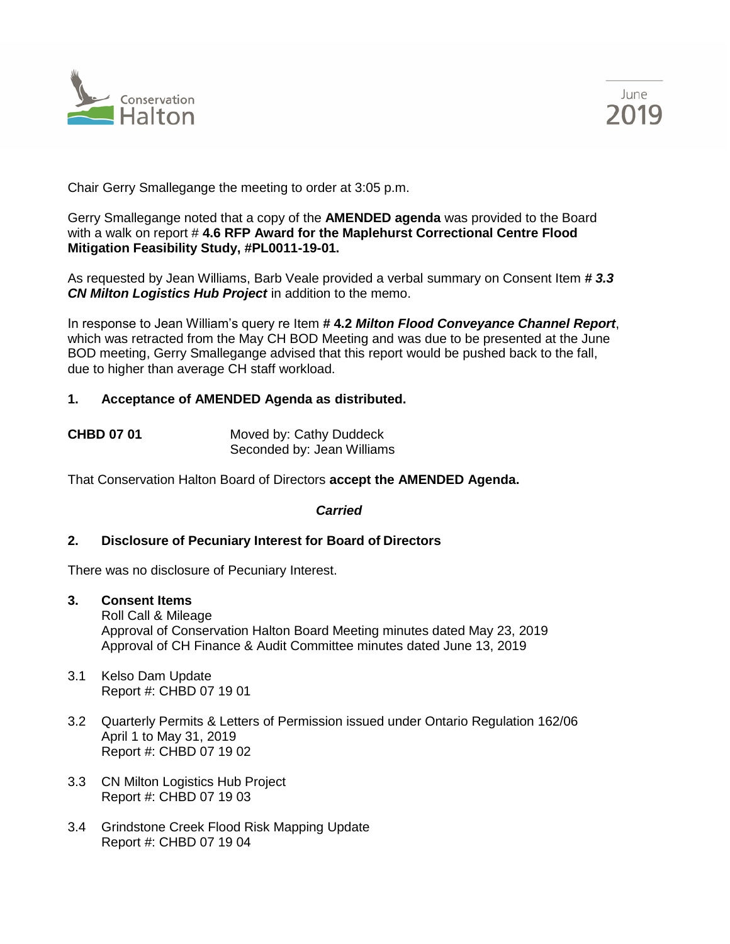



Chair Gerry Smallegange the meeting to order at 3:05 p.m.

Gerry Smallegange noted that a copy of the **AMENDED agenda** was provided to the Board with a walk on report # **4.6 RFP Award for the Maplehurst Correctional Centre Flood Mitigation Feasibility Study, #PL0011-19-01.** 

As requested by Jean Williams, Barb Veale provided a verbal summary on Consent Item *# 3.3 CN Milton Logistics Hub Project* in addition to the memo.

In response to Jean William's query re Item **# 4.2** *Milton Flood Conveyance Channel Report*, which was retracted from the May CH BOD Meeting and was due to be presented at the June BOD meeting, Gerry Smallegange advised that this report would be pushed back to the fall, due to higher than average CH staff workload.

#### **1. Acceptance of AMENDED Agenda as distributed.**

| <b>CHBD 07 01</b> | Moved by: Cathy Duddeck    |
|-------------------|----------------------------|
|                   | Seconded by: Jean Williams |

That Conservation Halton Board of Directors **accept the AMENDED Agenda.**

#### *Carried*

# **2. Disclosure of Pecuniary Interest for Board of Directors**

There was no disclosure of Pecuniary Interest.

**3. Consent Items**

Roll Call & Mileage Approval of Conservation Halton Board Meeting minutes dated May 23, 2019 Approval of CH Finance & Audit Committee minutes dated June 13, 2019

- 3.1 Kelso Dam Update Report #: CHBD 07 19 01
- 3.2 Quarterly Permits & Letters of Permission issued under Ontario Regulation 162/06 April 1 to May 31, 2019 Report #: CHBD 07 19 02
- 3.3 CN Milton Logistics Hub Project Report #: CHBD 07 19 03
- 3.4 Grindstone Creek Flood Risk Mapping Update Report #: CHBD 07 19 04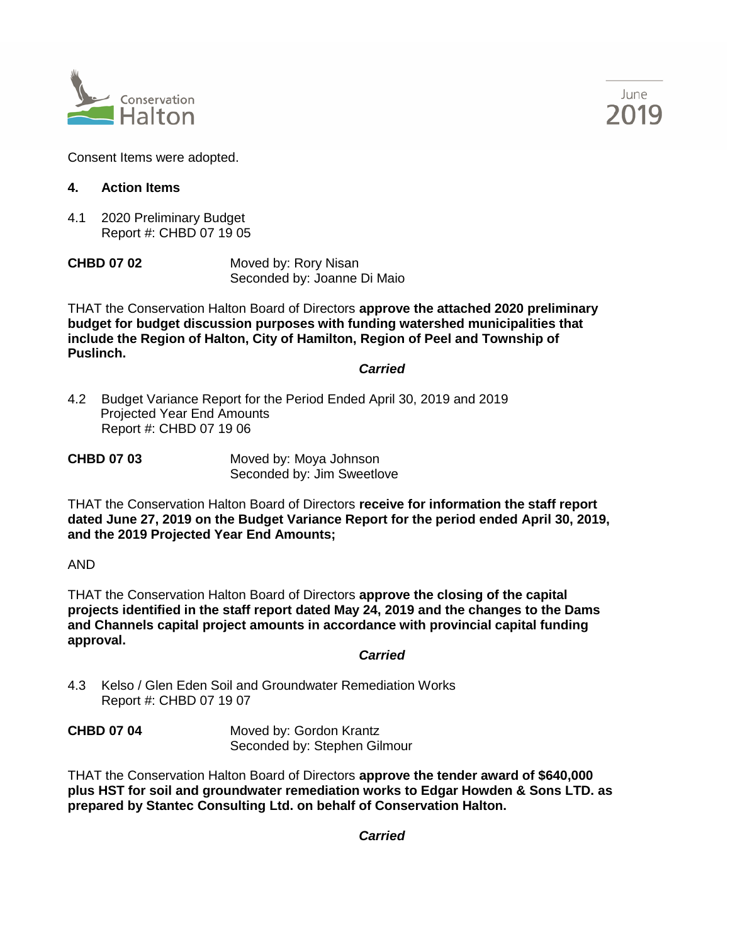



Consent Items were adopted.

# **4. Action Items**

4.1 2020 Preliminary Budget Report #: CHBD 07 19 05

**CHBD 07 02** Moved by: Rory Nisan Seconded by: Joanne Di Maio

THAT the Conservation Halton Board of Directors **approve the attached 2020 preliminary budget for budget discussion purposes with funding watershed municipalities that include the Region of Halton, City of Hamilton, Region of Peel and Township of Puslinch.**

*Carried*

4.2 Budget Variance Report for the Period Ended April 30, 2019 and 2019 Projected Year End Amounts Report #: CHBD 07 19 06

**CHBD 07 03** Moved by: Moya Johnson Seconded by: Jim Sweetlove

THAT the Conservation Halton Board of Directors **receive for information the staff report dated June 27, 2019 on the Budget Variance Report for the period ended April 30, 2019, and the 2019 Projected Year End Amounts;**

AND

THAT the Conservation Halton Board of Directors **approve the closing of the capital projects identified in the staff report dated May 24, 2019 and the changes to the Dams and Channels capital project amounts in accordance with provincial capital funding approval.**

*Carried*

4.3 Kelso / Glen Eden Soil and Groundwater Remediation Works Report #: CHBD 07 19 07

**CHBD 07 04** Moved by: Gordon Krantz Seconded by: Stephen Gilmour

THAT the Conservation Halton Board of Directors **approve the tender award of \$640,000 plus HST for soil and groundwater remediation works to Edgar Howden & Sons LTD. as prepared by Stantec Consulting Ltd. on behalf of Conservation Halton.**

*Carried*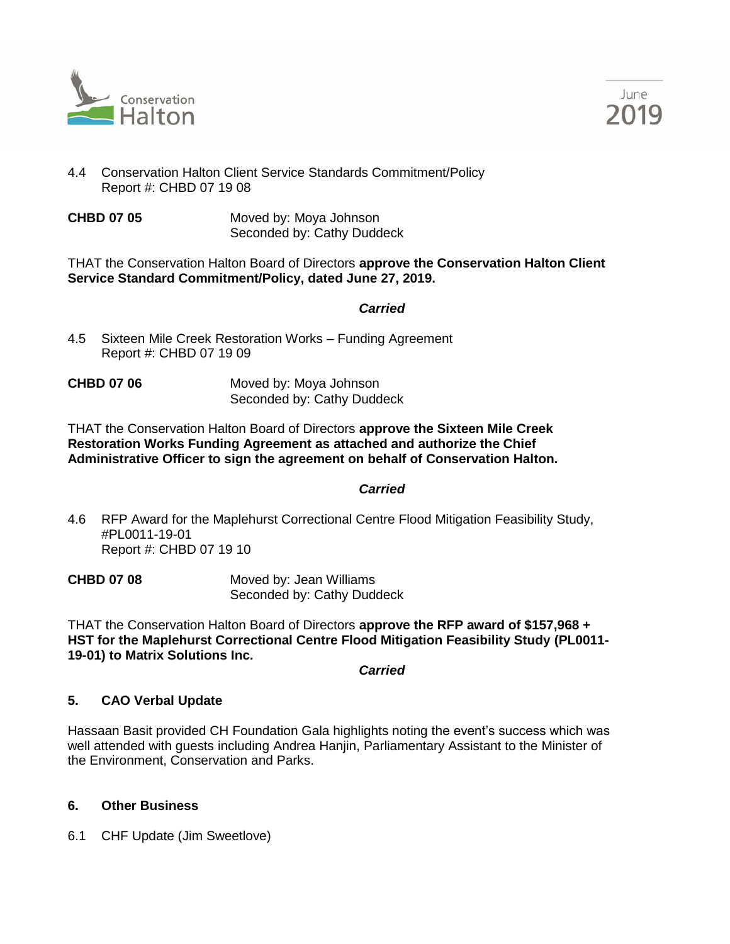



- 4.4 Conservation Halton Client Service Standards Commitment/Policy Report #: CHBD 07 19 08
- **CHBD 07 05** Moved by: Moya Johnson Seconded by: Cathy Duddeck

THAT the Conservation Halton Board of Directors **approve the Conservation Halton Client Service Standard Commitment/Policy, dated June 27, 2019.**

#### *Carried*

- 4.5 Sixteen Mile Creek Restoration Works Funding Agreement Report #: CHBD 07 19 09
- **CHBD 07 06** Moved by: Moya Johnson Seconded by: Cathy Duddeck

THAT the Conservation Halton Board of Directors **approve the Sixteen Mile Creek Restoration Works Funding Agreement as attached and authorize the Chief Administrative Officer to sign the agreement on behalf of Conservation Halton.**

*Carried*

4.6 RFP Award for the Maplehurst Correctional Centre Flood Mitigation Feasibility Study, #PL0011-19-01 Report #: CHBD 07 19 10

**CHBD 07 08** Moved by: Jean Williams Seconded by: Cathy Duddeck

THAT the Conservation Halton Board of Directors **approve the RFP award of \$157,968 + HST for the Maplehurst Correctional Centre Flood Mitigation Feasibility Study (PL0011- 19-01) to Matrix Solutions Inc.**

*Carried*

# **5. CAO Verbal Update**

Hassaan Basit provided CH Foundation Gala highlights noting the event's success which was well attended with guests including Andrea Hanjin, Parliamentary Assistant to the Minister of the Environment, Conservation and Parks.

# **6. Other Business**

6.1 CHF Update (Jim Sweetlove)